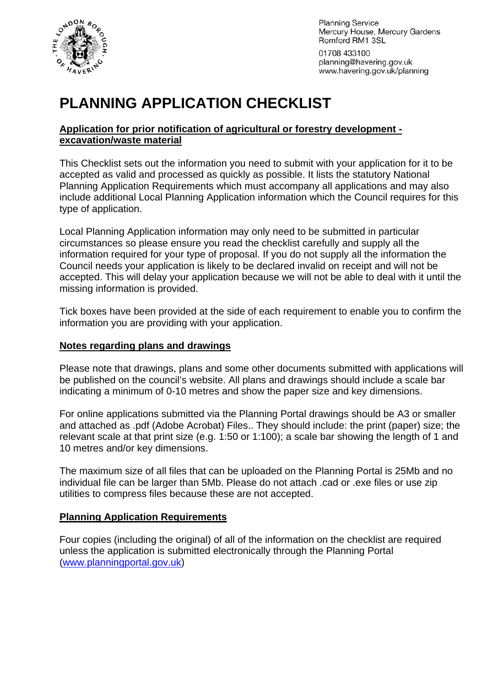

**Planning Service** Mercury House, Mercury Gardens Romford RM1 3SL

01708 433100 planning@havering.gov.uk www.havering.gov.uk/planning

# **PLANNING APPLICATION CHECKLIST**

#### **Application for prior notification of agricultural or forestry development excavation/waste material**

This Checklist sets out the information you need to submit with your application for it to be accepted as valid and processed as quickly as possible. It lists the statutory National Planning Application Requirements which must accompany all applications and may also include additional Local Planning Application information which the Council requires for this type of application.

Local Planning Application information may only need to be submitted in particular circumstances so please ensure you read the checklist carefully and supply all the information required for your type of proposal. If you do not supply all the information the Council needs your application is likely to be declared invalid on receipt and will not be accepted. This will delay your application because we will not be able to deal with it until the missing information is provided.

Tick boxes have been provided at the side of each requirement to enable you to confirm the information you are providing with your application.

#### **Notes regarding plans and drawings**

Please note that drawings, plans and some other documents submitted with applications will be published on the council's website. All plans and drawings should include a scale bar indicating a minimum of 0-10 metres and show the paper size and key dimensions.

For online applications submitted via the Planning Portal drawings should be A3 or smaller and attached as .pdf (Adobe Acrobat) Files.. They should include: the print (paper) size; the relevant scale at that print size (e.g. 1:50 or 1:100); a scale bar showing the length of 1 and 10 metres and/or key dimensions.

The maximum size of all files that can be uploaded on the Planning Portal is 25Mb and no individual file can be larger than 5Mb. Please do not attach .cad or .exe files or use zip utilities to compress files because these are not accepted.

## **Planning Application Requirements**

Four copies (including the original) of all of the information on the checklist are required unless the application is submitted electronically through the Planning Portal ([www.planningportal.gov.uk](http://www.planningportal.gov.uk/))